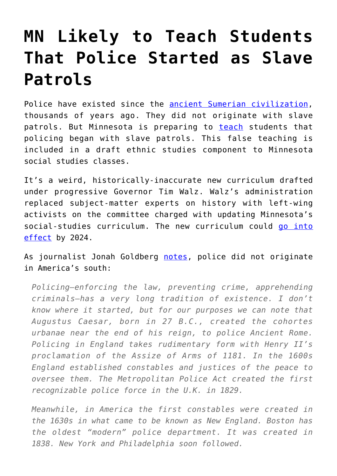## **[MN Likely to Teach Students](https://intellectualtakeout.org/2022/04/mn-likely-to-teach-students-that-police-started-as-slave-patrols/) [That Police Started as Slave](https://intellectualtakeout.org/2022/04/mn-likely-to-teach-students-that-police-started-as-slave-patrols/) [Patrols](https://intellectualtakeout.org/2022/04/mn-likely-to-teach-students-that-police-started-as-slave-patrols/)**

Police have existed since the [ancient Sumerian civilization,](https://www.asor.org/anetoday/2015/08/policemen-in-1st-millennium-bc-babylonia/) thousands of years ago. They did not originate with slave patrols. But Minnesota is preparing to [teach](https://www.americanexperiment.org/magazine/article/doubling-down-on-crt) students that policing began with slave patrols. This false teaching is included in a draft ethnic studies component to Minnesota social studies classes.

It's a weird, historically-inaccurate new curriculum drafted under progressive Governor Tim Walz. Walz's administration replaced subject-matter experts on history with left-wing activists on the committee charged with updating Minnesota's social-studies curriculum. The new curriculum could [go into](https://www.americanexperiment.org/magazine/article/doubling-down-on-crt) [effect](https://www.americanexperiment.org/magazine/article/doubling-down-on-crt) by 2024.

As journalist Jonah Goldberg [notes](https://www.aei.org/op-eds/the-problem-with-claiming-that-policing-evolved-from-slave-patrols/), police did not originate in America's south:

*Policing—enforcing the law, preventing crime, apprehending criminals—has a very long tradition of existence. I don't know where it started, but for our purposes we can note that Augustus Caesar, born in 27 B.C., created the cohortes urbanae near the end of his reign, to police Ancient Rome. Policing in England takes rudimentary form with Henry II's proclamation of the Assize of Arms of 1181. In the 1600s England established constables and justices of the peace to oversee them. The Metropolitan Police Act created the first recognizable police force in the U.K. in 1829.*

*Meanwhile, in America the first constables were created in the 1630s in what came to be known as New England. Boston has the oldest "modern" police department. It was created in 1838. New York and Philadelphia soon followed.*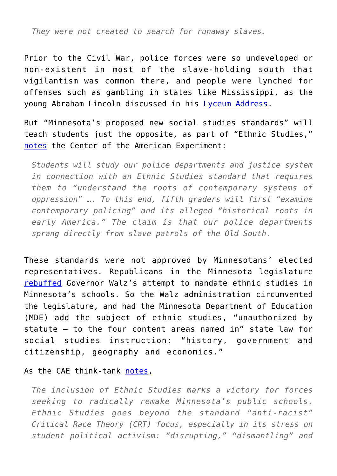*They were not created to search for runaway slaves.*

Prior to the Civil War, police forces were so undeveloped or non-existent in most of the slave-holding south that vigilantism was common there, and people were lynched for offenses such as gambling in states like Mississippi, as the young Abraham Lincoln discussed in his [Lyceum Address](https://www.abrahamlincolnonline.org/lincoln/speeches/lyceum.htm).

But "Minnesota's proposed new social studies standards" will teach students just the opposite, as part of "Ethnic Studies," [notes](https://www.americanexperiment.org/magazine/article/doubling-down-on-crt) the Center of the American Experiment:

*Students will study our police departments and justice system in connection with an Ethnic Studies standard that requires them to "understand the roots of contemporary systems of oppression" …. To this end, fifth graders will first "examine contemporary policing" and its alleged "historical roots in early America." The claim is that our police departments sprang directly from slave patrols of the Old South.*

These standards were not approved by Minnesotans' elected representatives. Republicans in the Minnesota legislature [rebuffed](https://www.americanexperiment.org/magazine/article/doubling-down-on-crt) Governor Walz's attempt to mandate ethnic studies in Minnesota's schools. So the Walz administration circumvented the legislature, and had the Minnesota Department of Education (MDE) add the subject of ethnic studies, "unauthorized by statute — to the four content areas named in" state law for social studies instruction: "history, government and citizenship, geography and economics."

As the CAE think-tank [notes,](https://www.americanexperiment.org/magazine/article/doubling-down-on-crt)

*The inclusion of Ethnic Studies marks a victory for forces seeking to radically remake Minnesota's public schools. Ethnic Studies goes beyond the standard "anti-racist" Critical Race Theory (CRT) focus, especially in its stress on student political activism: "disrupting," "dismantling" and*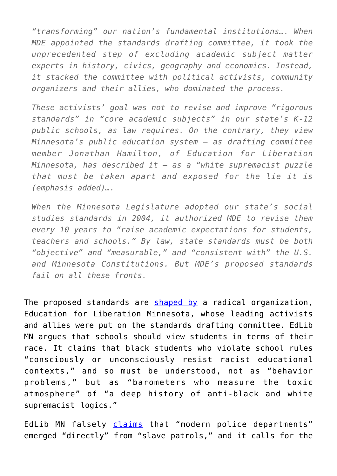*"transforming" our nation's fundamental institutions…. When MDE appointed the standards drafting committee, it took the unprecedented step of excluding academic subject matter experts in history, civics, geography and economics. Instead, it stacked the committee with political activists, community organizers and their allies, who dominated the process.*

*These activists' goal was not to revise and improve "rigorous standards" in "core academic subjects" in our state's K-12 public schools, as law requires. On the contrary, they view Minnesota's public education system — as drafting committee member Jonathan Hamilton, of Education for Liberation Minnesota, has described it — as a "white supremacist puzzle that must be taken apart and exposed for the lie it is (emphasis added)….*

*When the Minnesota Legislature adopted our state's social studies standards in 2004, it authorized MDE to revise them every 10 years to "raise academic expectations for students, teachers and schools." By law, state standards must be both "objective" and "measurable," and "consistent with" the U.S. and Minnesota Constitutions. But MDE's proposed standards fail on all these fronts.*

The proposed standards are [shaped by](https://www.americanexperiment.org/magazine/article/doubling-down-on-crt) a radical organization, Education for Liberation Minnesota, whose leading activists and allies were put on the standards drafting committee. EdLib MN argues that schools should view students in terms of their race. It claims that black students who violate school rules "consciously or unconsciously resist racist educational contexts," and so must be understood, not as "behavior problems," but as "barometers who measure the toxic atmosphere" of "a deep history of anti-black and white supremacist logics."

EdLib MN falsely [claims](https://www.americanexperiment.org/magazine/article/doubling-down-on-crt) that "modern police departments" emerged "directly" from "slave patrols," and it calls for the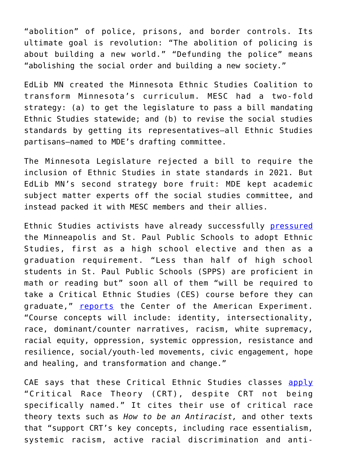"abolition" of police, prisons, and border controls. Its ultimate goal is revolution: "The abolition of policing is about building a new world." "Defunding the police" means "abolishing the social order and building a new society."

EdLib MN created the Minnesota Ethnic Studies Coalition to transform Minnesota's curriculum. MESC had a two-fold strategy: (a) to get the legislature to pass a bill mandating Ethnic Studies statewide; and (b) to revise the social studies standards by getting its representatives—all Ethnic Studies partisans—named to MDE's drafting committee.

The Minnesota Legislature rejected a bill to require the inclusion of Ethnic Studies in state standards in 2021. But EdLib MN's second strategy bore fruit: MDE kept academic subject matter experts off the social studies committee, and instead packed it with MESC members and their allies.

Ethnic Studies activists have already successfully [pressured](https://www.americanexperiment.org/magazine/article/doubling-down-on-crt) the Minneapolis and St. Paul Public Schools to adopt Ethnic Studies, first as a high school elective and then as a graduation requirement. "Less than half of high school students in St. Paul Public Schools (SPPS) are proficient in math or reading but" soon all of them "will be required to take a Critical Ethnic Studies (CES) course before they can graduate," [reports](https://www.americanexperiment.org/critical-ethnic-studies-now-graduation-requirement-in-st-paul-district/) the Center of the American Experiment. "Course concepts will include: identity, intersectionality, race, dominant/counter narratives, racism, white supremacy, racial equity, oppression, systemic oppression, resistance and resilience, social/youth-led movements, civic engagement, hope and healing, and transformation and change."

CAE says that these Critical Ethnic Studies classes [apply](https://www.americanexperiment.org/critical-ethnic-studies-now-graduation-requirement-in-st-paul-district/) "Critical Race Theory (CRT), despite CRT not being specifically named." It cites their use of critical race theory texts such as *How to be an Antiracist,* and other texts that "support CRT's key concepts, including race essentialism, systemic racism, active racial discrimination and anti